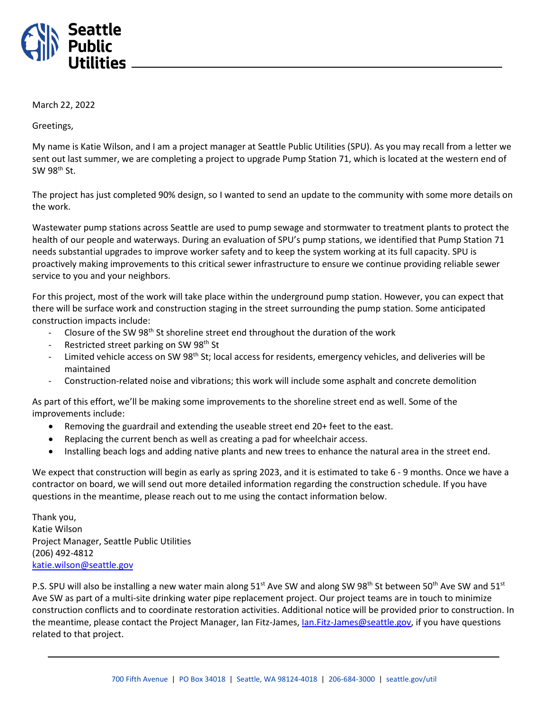

March 22, 2022

Greetings,

My name is Katie Wilson, and I am a project manager at Seattle Public Utilities (SPU). As you may recall from a letter we sent out last summer, we are completing a project to upgrade Pump Station 71, which is located at the western end of  $SW$  98<sup>th</sup> St.

The project has just completed 90% design, so I wanted to send an update to the community with some more details on the work.

Wastewater pump stations across Seattle are used to pump sewage and stormwater to treatment plants to protect the health of our people and waterways. During an evaluation of SPU's pump stations, we identified that Pump Station 71 needs substantial upgrades to improve worker safety and to keep the system working at its full capacity. SPU is proactively making improvements to this critical sewer infrastructure to ensure we continue providing reliable sewer service to you and your neighbors.

For this project, most of the work will take place within the underground pump station. However, you can expect that there will be surface work and construction staging in the street surrounding the pump station. Some anticipated construction impacts include:

- Closure of the SW 98<sup>th</sup> St shoreline street end throughout the duration of the work
- Restricted street parking on SW 98<sup>th</sup> St
- Limited vehicle access on SW 98<sup>th</sup> St; local access for residents, emergency vehicles, and deliveries will be maintained
- Construction-related noise and vibrations; this work will include some asphalt and concrete demolition

As part of this effort, we'll be making some improvements to the shoreline street end as well. Some of the improvements include:

- Removing the guardrail and extending the useable street end 20+ feet to the east.
- Replacing the current bench as well as creating a pad for wheelchair access.
- Installing beach logs and adding native plants and new trees to enhance the natural area in the street end.

We expect that construction will begin as early as spring 2023, and it is estimated to take 6 - 9 months. Once we have a contractor on board, we will send out more detailed information regarding the construction schedule. If you have questions in the meantime, please reach out to me using the contact information below.

Thank you, Katie Wilson Project Manager, Seattle Public Utilities (206) 492-4812 [katie.wilson@seattle.gov](mailto:katie.wilson@seattle.gov)

P.S. SPU will also be installing a new water main along  $51^{st}$  Ave SW and along SW 98<sup>th</sup> St between 50<sup>th</sup> Ave SW and 51<sup>st</sup> Ave SW as part of a multi-site drinking water pipe replacement project. Our project teams are in touch to minimize construction conflicts and to coordinate restoration activities. Additional notice will be provided prior to construction. In the meantime, please contact the Project Manager, Ian Fitz-James[, Ian.Fitz-James@seattle.gov,](mailto:Ian.Fitz-James@seattle.gov) if you have questions related to that project.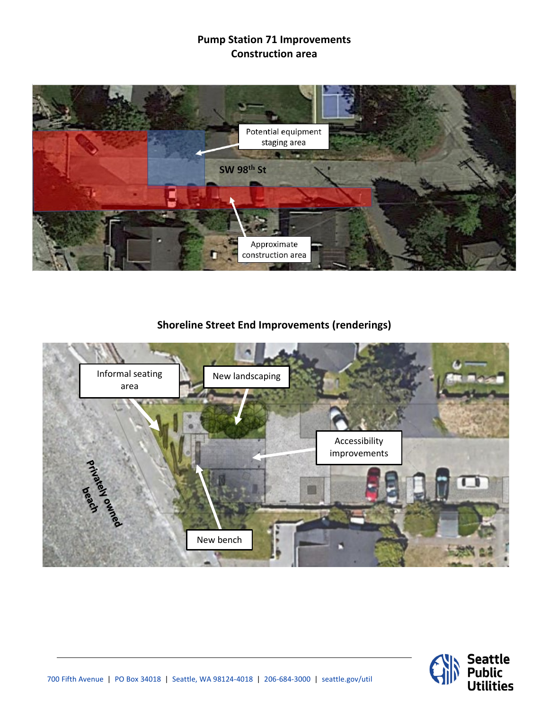## **Pump Station 71 Improvements Construction area**



## **Shoreline Street End Improvements (renderings)**